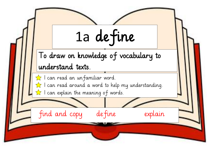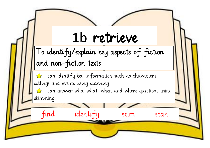## 1b retrieve To identify/explain key aspects of fiction and non-fiction texts.  $\hat{\mathbf{X}}$  I can identify key information such as characters, settings and events using scanning.  $\hat{\mathbb{Z}}$  I can answer who, what, when and where questions using skimming. find identify skim scan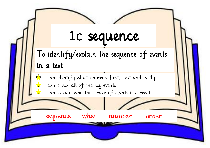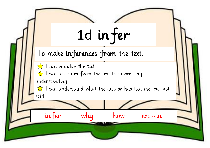| 1d in fer<br>To make inferences from the text.                                                                                                                                                                                         |  |  |  |  |
|----------------------------------------------------------------------------------------------------------------------------------------------------------------------------------------------------------------------------------------|--|--|--|--|
| $\sum$ I can visualise the text.<br>$\rightarrow$ I can use clues from the text to support my<br>understanding.<br>$\hat{\mathbf{X}}$ I can understand what the author has told me, but not<br>said.<br>infer<br>why<br>how<br>explain |  |  |  |  |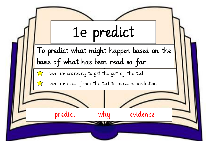